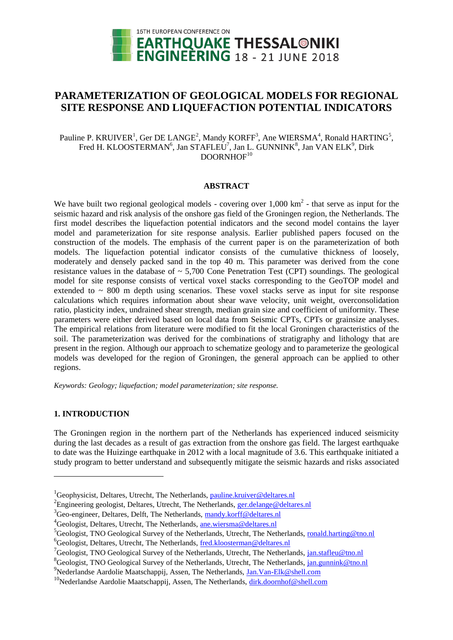

# **PARAMETERIZATION OF GEOLOGICAL MODELS FOR REGIONAL SITE RESPONSE AND LIQUEFACTION POTENTIAL INDICATORS**

Pauline P. KRUIVER<sup>1</sup>, Ger DE LANGE<sup>2</sup>, Mandy KORFF<sup>3</sup>, Ane WIERSMA<sup>4</sup>, Ronald HARTING<sup>5</sup>, Fred H. KLOOSTERMAN<sup>6</sup>, Jan STAFLEU<sup>7</sup>, Jan L. GUNNINK<sup>8</sup>, Jan VAN ELK<sup>9</sup>, Dirk  $DOORNHOF<sup>10</sup>$ 

#### **ABSTRACT**

We have built two regional geological models - covering over  $1,000 \text{ km}^2$  - that serve as input for the seismic hazard and risk analysis of the onshore gas field of the Groningen region, the Netherlands. The first model describes the liquefaction potential indicators and the second model contains the layer model and parameterization for site response analysis. Earlier published papers focused on the construction of the models. The emphasis of the current paper is on the parameterization of both models. The liquefaction potential indicator consists of the cumulative thickness of loosely, moderately and densely packed sand in the top 40 m. This parameter was derived from the cone resistance values in the database of  $\sim 5,700$  Cone Penetration Test (CPT) soundings. The geological model for site response consists of vertical voxel stacks corresponding to the GeoTOP model and extended to  $\sim$  800 m depth using scenarios. These voxel stacks serve as input for site response calculations which requires information about shear wave velocity, unit weight, overconsolidation ratio, plasticity index, undrained shear strength, median grain size and coefficient of uniformity. These parameters were either derived based on local data from Seismic CPTs, CPTs or grainsize analyses. The empirical relations from literature were modified to fit the local Groningen characteristics of the soil. The parameterization was derived for the combinations of stratigraphy and lithology that are present in the region. Although our approach to schematize geology and to parameterize the geological models was developed for the region of Groningen, the general approach can be applied to other regions.

*Keywords: Geology; liquefaction; model parameterization; site response.*

## **1. INTRODUCTION**

l

The Groningen region in the northern part of the Netherlands has experienced induced seismicity during the last decades as a result of gas extraction from the onshore gas field. The largest earthquake to date was the Huizinge earthquake in 2012 with a local magnitude of 3.6. This earthquake initiated a study program to better understand and subsequently mitigate the seismic hazards and risks associated

 ${}^{1}$ Geophysicist, Deltares, Utrecht, The Netherlands, [pa](mailto:p)uline.kruiver@deltares.nl

<sup>&</sup>lt;sup>2</sup> Engineering geologist, Deltares, Utrecht, The Netherlands, [ger.delange@deltares.nl](mailto:ger.delange@deltares.nl)

 $3^3$ Geo-engineer, Deltares, Delft, The Netherlands, [ma](mailto:emailaddress1@canterbury.ac.nz)ndy.korff@deltares.nl

<sup>&</sup>lt;sup>4</sup>Geologist, Deltares, Utrecht, The Netherlands, [ane.wiersma@deltares.nl](mailto:ane.wiersma@deltares.nl)

 ${}^{5}$ Geologist, TNO Geological Survey of the Netherlands, Utrecht, The Netherlands, [ronald.harting@tno.nl](mailto:ronald.harting@tno.nl)  ${}^{6}$ Geologist, Deltares, Utrecht, The Netherlands, [fred.kloosterman@deltares.nl](mailto:fred.kloosterman@deltares.nl)

<sup>&</sup>lt;sup>7</sup>Geologist, TNO Geological Survey of the Netherlands, Utrecht, The Netherlands, [jan.stafleu@tno.nl](mailto:jan.stafleu@tno.nl)

<sup>&</sup>lt;sup>8</sup>Geologist, TNO Geological Survey of the Netherlands, Utrecht, The Netherlands, [jan.gunnink@tno.nl](mailto:jan.gunnink@tno.nl)

<sup>9</sup>Nederlandse Aardolie Maatschappij, Assen, The Netherlands, [Jan.Van-Elk@shell.com](mailto:Jan.Van-Elk@shell.com)

<sup>&</sup>lt;sup>10</sup>Nederlandse Aardolie Maatschappij, Assen, The Netherlands, [dirk.doornhof@shell.com](mailto:dirk.doornhof@shell.com)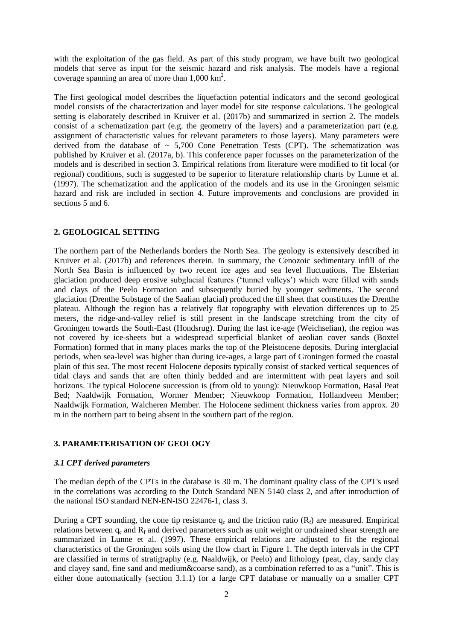with the exploitation of the gas field. As part of this study program, we have built two geological models that serve as input for the seismic hazard and risk analysis. The models have a regional coverage spanning an area of more than  $1,000 \text{ km}^2$ .

The first geological model describes the liquefaction potential indicators and the second geological model consists of the characterization and layer model for site response calculations. The geological setting is elaborately described in Kruiver et al. (2017b) and summarized in section 2. The models consist of a schematization part (e.g. the geometry of the layers) and a parameterization part (e.g. assignment of characteristic values for relevant parameters to those layers). Many parameters were derived from the database of  $\sim 5,700$  Cone Penetration Tests (CPT). The schematization was published by Kruiver et al. (2017a, b). This conference paper focusses on the parameterization of the models and is described in section 3. Empirical relations from literature were modified to fit local (or regional) conditions, such is suggested to be superior to literature relationship charts by Lunne et al. (1997). The schematization and the application of the models and its use in the Groningen seismic hazard and risk are included in section 4. Future improvements and conclusions are provided in sections 5 and 6.

## **2. GEOLOGICAL SETTING**

The northern part of the Netherlands borders the North Sea. The geology is extensively described in Kruiver et al. (2017b) and references therein. In summary, the Cenozoic sedimentary infill of the North Sea Basin is influenced by two recent ice ages and sea level fluctuations. The Elsterian glaciation produced deep erosive subglacial features ('tunnel valleys') which were filled with sands and clays of the Peelo Formation and subsequently buried by younger sediments. The second glaciation (Drenthe Substage of the Saalian glacial) produced the till sheet that constitutes the Drenthe plateau. Although the region has a relatively flat topography with elevation differences up to 25 meters, the ridge-and-valley relief is still present in the landscape stretching from the city of Groningen towards the South-East (Hondsrug). During the last ice-age (Weichselian), the region was not covered by ice-sheets but a widespread superficial blanket of aeolian cover sands (Boxtel Formation) formed that in many places marks the top of the Pleistocene deposits. During interglacial periods, when sea-level was higher than during ice-ages, a large part of Groningen formed the coastal plain of this sea. The most recent Holocene deposits typically consist of stacked vertical sequences of tidal clays and sands that are often thinly bedded and are intermittent with peat layers and soil horizons. The typical Holocene succession is (from old to young): Nieuwkoop Formation, Basal Peat Bed; Naaldwijk Formation, Wormer Member; Nieuwkoop Formation, Hollandveen Member; Naaldwijk Formation, Walcheren Member. The Holocene sediment thickness varies from approx. 20 m in the northern part to being absent in the southern part of the region.

## **3. PARAMETERISATION OF GEOLOGY**

## *3.1 CPT derived parameters*

The median depth of the CPTs in the database is 30 m. The dominant quality class of the CPT's used in the correlations was according to the Dutch Standard NEN 5140 class 2, and after introduction of the national ISO standard NEN-EN-ISO 22476-1, class 3.

During a CPT sounding, the cone tip resistance  $q_c$  and the friction ratio  $(R_f)$  are measured. Empirical relations between  $q_c$  and  $R_f$  and derived parameters such as unit weight or undrained shear strength are summarized in Lunne et al. (1997). These empirical relations are adjusted to fit the regional characteristics of the Groningen soils using the flow chart in Figure 1. The depth intervals in the CPT are classified in terms of stratigraphy (e.g. Naaldwijk, or Peelo) and lithology (peat, clay, sandy clay and clayey sand, fine sand and medium&coarse sand), as a combination referred to as a "unit". This is either done automatically (section 3.1.1) for a large CPT database or manually on a smaller CPT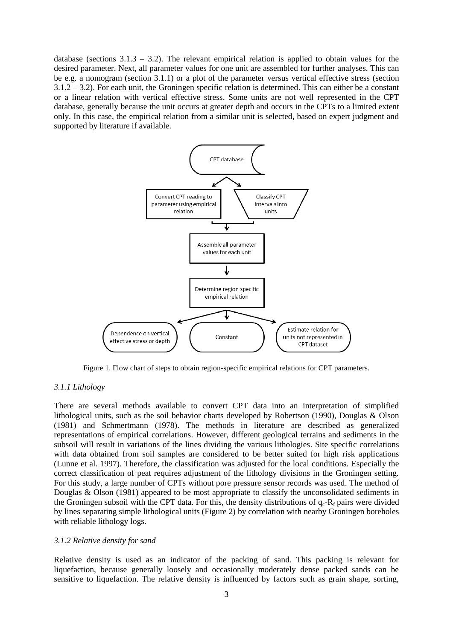database (sections  $3.1.3 - 3.2$ ). The relevant empirical relation is applied to obtain values for the desired parameter. Next, all parameter values for one unit are assembled for further analyses. This can be e.g. a nomogram (section 3.1.1) or a plot of the parameter versus vertical effective stress (section 3.1.2 – 3.2). For each unit, the Groningen specific relation is determined. This can either be a constant or a linear relation with vertical effective stress. Some units are not well represented in the CPT database, generally because the unit occurs at greater depth and occurs in the CPTs to a limited extent only. In this case, the empirical relation from a similar unit is selected, based on expert judgment and supported by literature if available.



Figure 1. Flow chart of steps to obtain region-specific empirical relations for CPT parameters.

### *3.1.1 Lithology*

There are several methods available to convert CPT data into an interpretation of simplified lithological units, such as the soil behavior charts developed by Robertson (1990), Douglas & Olson (1981) and Schmertmann (1978). The methods in literature are described as generalized representations of empirical correlations. However, different geological terrains and sediments in the subsoil will result in variations of the lines dividing the various lithologies. Site specific correlations with data obtained from soil samples are considered to be better suited for high risk applications (Lunne et al. 1997). Therefore, the classification was adjusted for the local conditions. Especially the correct classification of peat requires adjustment of the lithology divisions in the Groningen setting. For this study, a large number of CPTs without pore pressure sensor records was used. The method of Douglas & Olson (1981) appeared to be most appropriate to classify the unconsolidated sediments in the Groningen subsoil with the CPT data. For this, the density distributions of  $q_c$ - $R_f$  pairs were divided by lines separating simple lithological units (Figure 2) by correlation with nearby Groningen boreholes with reliable lithology logs.

#### *3.1.2 Relative density for sand*

Relative density is used as an indicator of the packing of sand. This packing is relevant for liquefaction, because generally loosely and occasionally moderately dense packed sands can be sensitive to liquefaction. The relative density is influenced by factors such as grain shape, sorting,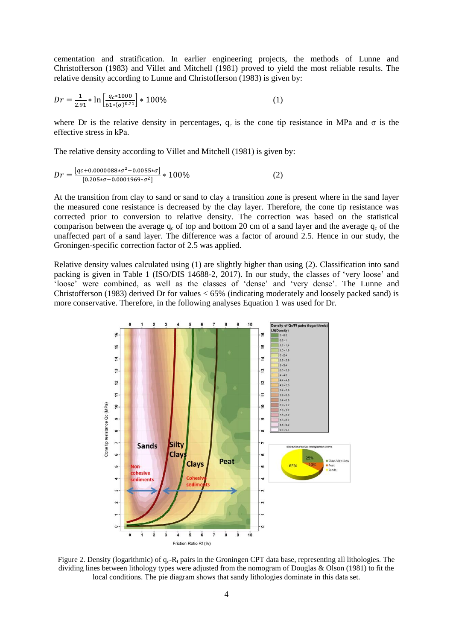cementation and stratification. In earlier engineering projects, the methods of Lunne and Christofferson (1983) and Villet and Mitchell (1981) proved to yield the most reliable results. The relative density according to Lunne and Christofferson (1983) is given by:

$$
Dr = \frac{1}{2.91} * \ln \left[ \frac{q_c * 1000}{61 * (\sigma)^{0.71}} \right] * 100\%
$$
 (1)

where Dr is the relative density in percentages,  $q_c$  is the cone tip resistance in MPa and  $\sigma$  is the effective stress in kPa.

The relative density according to Villet and Mitchell (1981) is given by:

$$
Dr = \frac{[qc + 0.0000088 * \sigma^2 - 0.0055 * \sigma]}{[0.205 * \sigma - 0.0001969 * \sigma^2]} * 100\%
$$
 (2)

At the transition from clay to sand or sand to clay a transition zone is present where in the sand layer the measured cone resistance is decreased by the clay layer. Therefore, the cone tip resistance was corrected prior to conversion to relative density. The correction was based on the statistical comparison between the average  $q_c$  of top and bottom 20 cm of a sand layer and the average  $q_c$  of the unaffected part of a sand layer. The difference was a factor of around 2.5. Hence in our study, the Groningen-specific correction factor of 2.5 was applied.

Relative density values calculated using (1) are slightly higher than using (2). Classification into sand packing is given in Table 1 (ISO/DIS 14688-2, 2017). In our study, the classes of 'very loose' and 'loose' were combined, as well as the classes of 'dense' and 'very dense'. The Lunne and Christofferson (1983) derived Dr for values < 65% (indicating moderately and loosely packed sand) is more conservative. Therefore, in the following analyses Equation 1 was used for Dr.



Figure 2. Density (logarithmic) of  $q_c-R_f$  pairs in the Groningen CPT data base, representing all lithologies. The dividing lines between lithology types were adjusted from the nomogram of Douglas & Olson (1981) to fit the local conditions. The pie diagram shows that sandy lithologies dominate in this data set.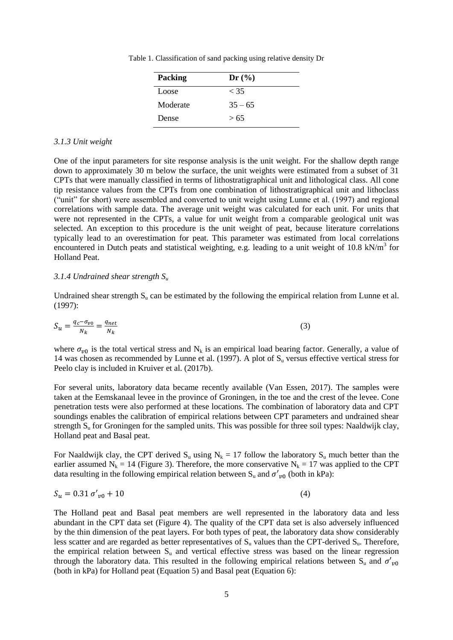Table 1. Classification of sand packing using relative density Dr

| <b>Packing</b> | Dr(%)     |
|----------------|-----------|
| Loose          | < 35      |
| Moderate       | $35 - 65$ |
| Dense          | > 65      |

#### *3.1.3 Unit weight*

One of the input parameters for site response analysis is the unit weight. For the shallow depth range down to approximately 30 m below the surface, the unit weights were estimated from a subset of 31 CPTs that were manually classified in terms of lithostratigraphical unit and lithological class. All cone tip resistance values from the CPTs from one combination of lithostratigraphical unit and lithoclass ("unit" for short) were assembled and converted to unit weight using Lunne et al. (1997) and regional correlations with sample data. The average unit weight was calculated for each unit. For units that were not represented in the CPTs, a value for unit weight from a comparable geological unit was selected. An exception to this procedure is the unit weight of peat, because literature correlations typically lead to an overestimation for peat. This parameter was estimated from local correlations encountered in Dutch peats and statistical weighting, e.g. leading to a unit weight of 10.8 kN/ $m<sup>3</sup>$  for Holland Peat.

#### *3.1.4 Undrained shear strength S<sup>u</sup>*

Undrained shear strength  $S_u$  can be estimated by the following the empirical relation from Lunne et al. (1997):

$$
S_u = \frac{q_c - \sigma_{v0}}{N_k} = \frac{q_{net}}{N_k} \tag{3}
$$

where  $\sigma_{\nu 0}$  is the total vertical stress and N<sub>k</sub> is an empirical load bearing factor. Generally, a value of 14 was chosen as recommended by Lunne et al. (1997). A plot of  $S_u$  versus effective vertical stress for Peelo clay is included in Kruiver et al. (2017b).

For several units, laboratory data became recently available (Van Essen, 2017). The samples were taken at the Eemskanaal levee in the province of Groningen, in the toe and the crest of the levee. Cone penetration tests were also performed at these locations. The combination of laboratory data and CPT soundings enables the calibration of empirical relations between CPT parameters and undrained shear strength  $S_u$  for Groningen for the sampled units. This was possible for three soil types: Naaldwijk clay, Holland peat and Basal peat.

For Naaldwijk clay, the CPT derived  $S_u$  using  $N_k = 17$  follow the laboratory  $S_u$  much better than the earlier assumed  $N_k = 14$  (Figure 3). Therefore, the more conservative  $N_k = 17$  was applied to the CPT data resulting in the following empirical relation between  $S_u$  and  $\sigma'_{v0}$  (both in kPa):

$$
S_u = 0.31 \sigma'_{v0} + 10 \tag{4}
$$

The Holland peat and Basal peat members are well represented in the laboratory data and less abundant in the CPT data set (Figure 4). The quality of the CPT data set is also adversely influenced by the thin dimension of the peat layers. For both types of peat, the laboratory data show considerably less scatter and are regarded as better representatives of  $S_u$  values than the CPT-derived  $S_u$ . Therefore, the empirical relation between  $S_u$  and vertical effective stress was based on the linear regression through the laboratory data. This resulted in the following empirical relations between  $S_u$  and  $\sigma'_{v0}$ (both in kPa) for Holland peat (Equation 5) and Basal peat (Equation 6):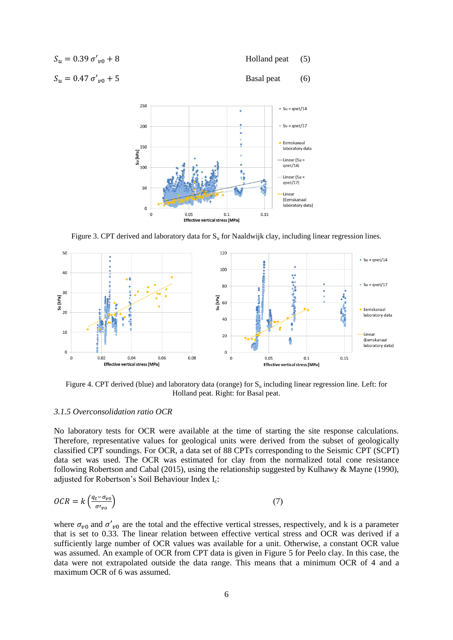| $S_{\nu} = 0.39 \sigma'_{\nu 0} + 8$ | Holland peat $(5)$ |     |
|--------------------------------------|--------------------|-----|
| $S_{\nu} = 0.47 \sigma'_{\nu 0} + 5$ | Basal peat         | (6) |



Figure 3. CPT derived and laboratory data for S<sub>u</sub> for Naaldwijk clay, including linear regression lines.



Figure 4. CPT derived (blue) and laboratory data (orange) for  $S_u$  including linear regression line. Left: for Holland peat. Right: for Basal peat.

### *3.1.5 Overconsolidation ratio OCR*

No laboratory tests for OCR were available at the time of starting the site response calculations. Therefore, representative values for geological units were derived from the subset of geologically classified CPT soundings. For OCR, a data set of 88 CPTs corresponding to the Seismic CPT (SCPT) data set was used. The OCR was estimated for clay from the normalized total cone resistance following Robertson and Cabal (2015), using the relationship suggested by Kulhawy & Mayne (1990), adjusted for Robertson's Soil Behaviour Index I<sub>c</sub>:

$$
OCR = k \left( \frac{q_t - \sigma_{v0}}{\sigma_{v0}} \right) \tag{7}
$$

where  $\sigma_{v0}$  and  $\sigma'_{v0}$  are the total and the effective vertical stresses, respectively, and k is a parameter that is set to 0.33. The linear relation between effective vertical stress and OCR was derived if a sufficiently large number of OCR values was available for a unit. Otherwise, a constant OCR value was assumed. An example of OCR from CPT data is given in Figure 5 for Peelo clay. In this case, the data were not extrapolated outside the data range. This means that a minimum OCR of 4 and a maximum OCR of 6 was assumed.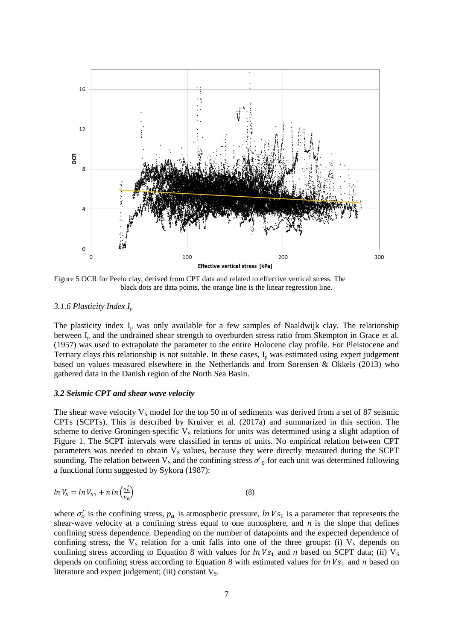

Figure 5 OCR for Peelo clay, derived from CPT data and related to effective vertical stress. The black dots are data points, the orange line is the linear regression line.

#### *3.1.6 Plasticity Index I<sup>p</sup>*

The plasticity index  $I<sub>p</sub>$  was only available for a few samples of Naaldwijk clay. The relationship between  $I<sub>p</sub>$  and the undrained shear strength to overburden stress ratio from Skempton in Grace et al. (1957) was used to extrapolate the parameter to the entire Holocene clay profile. For Pleistocene and Tertiary clays this relationship is not suitable. In these cases,  $I_p$  was estimated using expert judgement based on values measured elsewhere in the Netherlands and from Sorensen & Okkels (2013) who gathered data in the Danish region of the North Sea Basin.

#### *3.2 Seismic CPT and shear wave velocity*

The shear wave velocity  $V_s$  model for the top 50 m of sediments was derived from a set of 87 seismic CPTs (SCPTs). This is described by Kruiver et al. (2017a) and summarized in this section. The scheme to derive Groningen-specific  $V<sub>S</sub>$  relations for units was determined using a slight adaption of Figure 1. The SCPT intervals were classified in terms of units. No empirical relation between CPT parameters was needed to obtain  $V<sub>S</sub>$  values, because they were directly measured during the SCPT sounding. The relation between  $V_s$  and the confining stress  $\sigma'_0$  for each unit was determined following a functional form suggested by Sykora (1987):

$$
ln V_S = ln V_{S1} + n ln \left(\frac{\sigma_o'}{p_a}\right) \tag{8}
$$

where  $\sigma'_0$  is the confining stress,  $p_a$  is atmospheric pressure,  $ln Vs_1$  is a parameter that represents the shear-wave velocity at a confining stress equal to one atmosphere, and *n* is the slope that defines confining stress dependence. Depending on the number of datapoints and the expected dependence of confining stress, the  $V_s$  relation for a unit falls into one of the three groups: (i)  $V_s$  depends on confining stress according to Equation 8 with values for  $ln Vs_1$  and *n* based on SCPT data; (ii)  $V_s$ depends on confining stress according to Equation 8 with estimated values for  $ln Vs_1$  and *n* based on literature and expert judgement; (iii) constant  $V_s$ .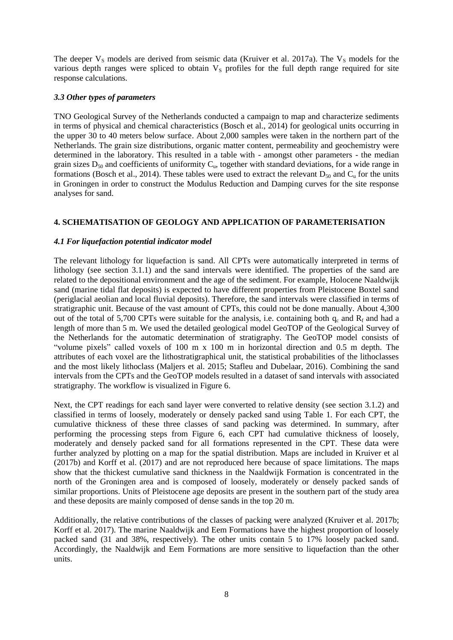The deeper  $V_s$  models are derived from seismic data (Kruiver et al. 2017a). The  $V_s$  models for the various depth ranges were spliced to obtain  $V<sub>S</sub>$  profiles for the full depth range required for site response calculations.

### *3.3 Other types of parameters*

TNO Geological Survey of the Netherlands conducted a campaign to map and characterize sediments in terms of physical and chemical characteristics (Bosch et al., 2014) for geological units occurring in the upper 30 to 40 meters below surface. About 2,000 samples were taken in the northern part of the Netherlands. The grain size distributions, organic matter content, permeability and geochemistry were determined in the laboratory. This resulted in a table with - amongst other parameters - the median grain sizes  $D_{50}$  and coefficients of uniformity  $C_u$ , together with standard deviations, for a wide range in formations (Bosch et al., 2014). These tables were used to extract the relevant  $D_{50}$  and  $C_u$  for the units in Groningen in order to construct the Modulus Reduction and Damping curves for the site response analyses for sand.

## **4. SCHEMATISATION OF GEOLOGY AND APPLICATION OF PARAMETERISATION**

### *4.1 For liquefaction potential indicator model*

The relevant lithology for liquefaction is sand. All CPTs were automatically interpreted in terms of lithology (see section 3.1.1) and the sand intervals were identified. The properties of the sand are related to the depositional environment and the age of the sediment. For example, Holocene Naaldwijk sand (marine tidal flat deposits) is expected to have different properties from Pleistocene Boxtel sand (periglacial aeolian and local fluvial deposits). Therefore, the sand intervals were classified in terms of stratigraphic unit. Because of the vast amount of CPTs, this could not be done manually. About 4,300 out of the total of 5,700 CPTs were suitable for the analysis, i.e. containing both  $q_c$  and  $R_f$  and had a length of more than 5 m. We used the detailed geological model GeoTOP of the Geological Survey of the Netherlands for the automatic determination of stratigraphy. The GeoTOP model consists of "volume pixels" called voxels of 100 m x 100 m in horizontal direction and 0.5 m depth. The attributes of each voxel are the lithostratigraphical unit, the statistical probabilities of the lithoclasses and the most likely lithoclass (Maljers et al. 2015; Stafleu and Dubelaar, 2016). Combining the sand intervals from the CPTs and the GeoTOP models resulted in a dataset of sand intervals with associated stratigraphy. The workflow is visualized in Figure 6.

Next, the CPT readings for each sand layer were converted to relative density (see section 3.1.2) and classified in terms of loosely, moderately or densely packed sand using Table 1. For each CPT, the cumulative thickness of these three classes of sand packing was determined. In summary, after performing the processing steps from Figure 6, each CPT had cumulative thickness of loosely, moderately and densely packed sand for all formations represented in the CPT. These data were further analyzed by plotting on a map for the spatial distribution. Maps are included in Kruiver et al (2017b) and Korff et al. (2017) and are not reproduced here because of space limitations. The maps show that the thickest cumulative sand thickness in the Naaldwijk Formation is concentrated in the north of the Groningen area and is composed of loosely, moderately or densely packed sands of similar proportions. Units of Pleistocene age deposits are present in the southern part of the study area and these deposits are mainly composed of dense sands in the top 20 m.

Additionally, the relative contributions of the classes of packing were analyzed (Kruiver et al. 2017b; Korff et al. 2017). The marine Naaldwijk and Eem Formations have the highest proportion of loosely packed sand (31 and 38%, respectively). The other units contain 5 to 17% loosely packed sand. Accordingly, the Naaldwijk and Eem Formations are more sensitive to liquefaction than the other units.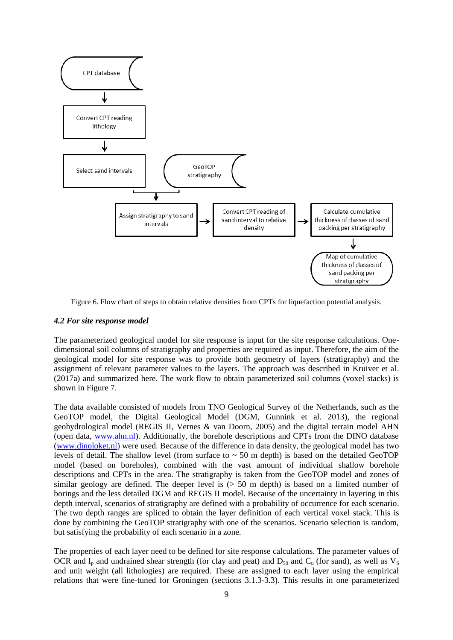

Figure 6. Flow chart of steps to obtain relative densities from CPTs for liquefaction potential analysis.

## *4.2 For site response model*

The parameterized geological model for site response is input for the site response calculations. Onedimensional soil columns of stratigraphy and properties are required as input. Therefore, the aim of the geological model for site response was to provide both geometry of layers (stratigraphy) and the assignment of relevant parameter values to the layers. The approach was described in Kruiver et al. (2017a) and summarized here. The work flow to obtain parameterized soil columns (voxel stacks) is shown in Figure 7.

The data available consisted of models from TNO Geological Survey of the Netherlands, such as the GeoTOP model, the Digital Geological Model (DGM, Gunnink et al. 2013), the regional geohydrological model (REGIS II, Vernes & van Doorn, 2005) and the digital terrain model AHN (open data, [www.ahn.nl\)](http://www.ahn.nl/). Additionally, the borehole descriptions and CPTs from the DINO database [\(www.dinoloket.nl\)](http://www.dinoloket.nl/) were used. Because of the difference in data density, the geological model has two levels of detail. The shallow level (from surface to  $\sim$  50 m depth) is based on the detailed GeoTOP model (based on boreholes), combined with the vast amount of individual shallow borehole descriptions and CPTs in the area. The stratigraphy is taken from the GeoTOP model and zones of similar geology are defined. The deeper level is  $(> 50 \text{ m depth})$  is based on a limited number of borings and the less detailed DGM and REGIS II model. Because of the uncertainty in layering in this depth interval, scenarios of stratigraphy are defined with a probability of occurrence for each scenario. The two depth ranges are spliced to obtain the layer definition of each vertical voxel stack. This is done by combining the GeoTOP stratigraphy with one of the scenarios. Scenario selection is random, but satisfying the probability of each scenario in a zone.

The properties of each layer need to be defined for site response calculations. The parameter values of OCR and  $I_p$  and undrained shear strength (for clay and peat) and  $D_{50}$  and  $C_u$  (for sand), as well as  $V_s$ and unit weight (all lithologies) are required. These are assigned to each layer using the empirical relations that were fine-tuned for Groningen (sections 3.1.3-3.3). This results in one parameterized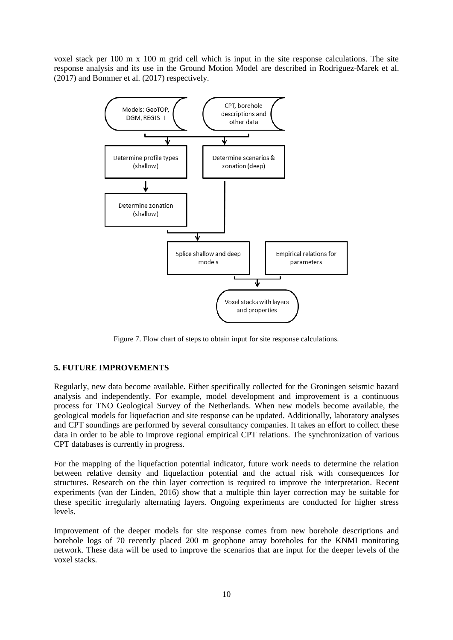voxel stack per 100 m x 100 m grid cell which is input in the site response calculations. The site response analysis and its use in the Ground Motion Model are described in Rodriguez-Marek et al. (2017) and Bommer et al. (2017) respectively.



Figure 7. Flow chart of steps to obtain input for site response calculations.

## **5. FUTURE IMPROVEMENTS**

Regularly, new data become available. Either specifically collected for the Groningen seismic hazard analysis and independently. For example, model development and improvement is a continuous process for TNO Geological Survey of the Netherlands. When new models become available, the geological models for liquefaction and site response can be updated. Additionally, laboratory analyses and CPT soundings are performed by several consultancy companies. It takes an effort to collect these data in order to be able to improve regional empirical CPT relations. The synchronization of various CPT databases is currently in progress.

For the mapping of the liquefaction potential indicator, future work needs to determine the relation between relative density and liquefaction potential and the actual risk with consequences for structures. Research on the thin layer correction is required to improve the interpretation. Recent experiments (van der Linden, 2016) show that a multiple thin layer correction may be suitable for these specific irregularly alternating layers. Ongoing experiments are conducted for higher stress levels.

Improvement of the deeper models for site response comes from new borehole descriptions and borehole logs of 70 recently placed 200 m geophone array boreholes for the KNMI monitoring network. These data will be used to improve the scenarios that are input for the deeper levels of the voxel stacks.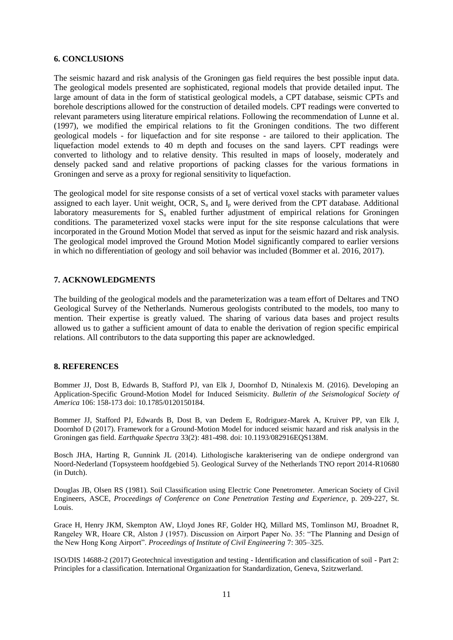### **6. CONCLUSIONS**

The seismic hazard and risk analysis of the Groningen gas field requires the best possible input data. The geological models presented are sophisticated, regional models that provide detailed input. The large amount of data in the form of statistical geological models, a CPT database, seismic CPTs and borehole descriptions allowed for the construction of detailed models. CPT readings were converted to relevant parameters using literature empirical relations. Following the recommendation of Lunne et al. (1997), we modified the empirical relations to fit the Groningen conditions. The two different geological models - for liquefaction and for site response - are tailored to their application. The liquefaction model extends to 40 m depth and focuses on the sand layers. CPT readings were converted to lithology and to relative density. This resulted in maps of loosely, moderately and densely packed sand and relative proportions of packing classes for the various formations in Groningen and serve as a proxy for regional sensitivity to liquefaction.

The geological model for site response consists of a set of vertical voxel stacks with parameter values assigned to each layer. Unit weight, OCR,  $S_u$  and  $I_p$  were derived from the CPT database. Additional laboratory measurements for  $S<sub>u</sub>$  enabled further adjustment of empirical relations for Groningen conditions. The parameterized voxel stacks were input for the site response calculations that were incorporated in the Ground Motion Model that served as input for the seismic hazard and risk analysis. The geological model improved the Ground Motion Model significantly compared to earlier versions in which no differentiation of geology and soil behavior was included (Bommer et al. 2016, 2017).

### **7. ACKNOWLEDGMENTS**

The building of the geological models and the parameterization was a team effort of Deltares and TNO Geological Survey of the Netherlands. Numerous geologists contributed to the models, too many to mention. Their expertise is greatly valued. The sharing of various data bases and project results allowed us to gather a sufficient amount of data to enable the derivation of region specific empirical relations. All contributors to the data supporting this paper are acknowledged.

### **8. REFERENCES**

Bommer JJ, Dost B, Edwards B, Stafford PJ, van Elk J, Doornhof D, Ntinalexis M. (2016). Developing an Application-Specific Ground-Motion Model for Induced Seismicity. *Bulletin of the Seismological Society of America* 106: 158-173 doi: 10.1785/0120150184.

Bommer JJ, Stafford PJ, Edwards B, Dost B, van Dedem E, Rodriguez-Marek A, Kruiver PP, van Elk J, Doornhof D (2017). Framework for a Ground-Motion Model for induced seismic hazard and risk analysis in the Groningen gas field. *Earthquake Spectra* 33(2): 481-498. doi: 10.1193/082916EQS138M.

Bosch JHA, Harting R, Gunnink JL (2014). Lithologische karakterisering van de ondiepe ondergrond van Noord-Nederland (Topsysteem hoofdgebied 5). Geological Survey of the Netherlands TNO report 2014-R10680 (in Dutch).

Douglas JB, Olsen RS (1981). Soil Classification using Electric Cone Penetrometer. American Society of Civil Engineers, ASCE, *Proceedings of Conference on Cone Penetration Testing and Experience*, p. 209-227, St. Louis.

Grace H, Henry JKM, Skempton AW, Lloyd Jones RF, Golder HQ, Millard MS, Tomlinson MJ, Broadnet R, Rangeley WR, Hoare CR, Alston J (1957). Discussion on Airport Paper No. 35: "The Planning and Design of the New Hong Kong Airport". *Proceedings of Institute of Civil Engineering* 7: 305–325.

ISO/DIS 14688-2 (2017) Geotechnical investigation and testing - Identification and classification of soil - Part 2: Principles for a classification. International Organizaation for Standardization, Geneva, Szitzwerland.